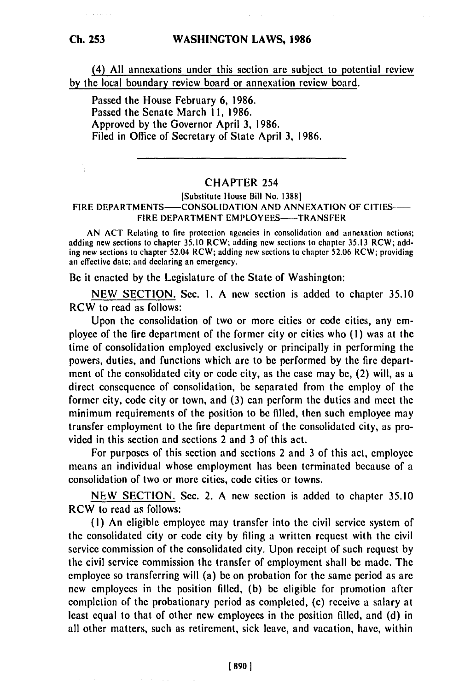(4) **All** annexations under this section are subject to potential review **by** the local boundary review board or annexation review board.

Passed the House February 6, 1986. Passed the Senate March Ii, 1986. Approved by the Governor April 3, 1986. Filed in Office of Secretary of State April 3, 1986.

## CHAPTER 254

## [Substitute House Bill No. **13881** FIRE DEPARTMENTS——CONSOLIDATION AND ANNEXATION OF CITIES—— FIRE DEPARTMENT EMPLOYEES-TRANSFER

AN ACT Relating to fire protection agencies in consolidation and annexation actions; adding new sections to chapter 35.10 RCW; adding new sections to chapter 35.13 RCW; adding new sections to chapter 52.04 RCW; adding new sections to chapter 52.06 RCW; providing an effective date; and declaring an emergency.

Be it enacted by the Legislature of the State of Washington:

**NEW** SECTION. Sec. I. A new section is added to chapter 35.10 RCW to read as follows:

Upon the consolidation of two or more cities or code cities, any employee of the fire department of the former city or cities who (i) was at the time of consolidation employed exclusively or principally in performing the powers, duties, and functions which are to be performed by the fire department of the consolidated city or code city, as the case may be, (2) will, as a direct consequence of consolidation, be separated from the employ of the former city, code city or town, and (3) can perform the duties and meet the minimum requirements of the position to be filled, then such employee may transfer employment to the fire department of the consolidated city, as provided in this section and sections 2 and 3 of this act.

For purposes of this section and sections 2 and 3 of this act, employee means an individual whose employment has been terminated because of a consolidation of two or more cities, code cities or towns.

NEW SECTION. Sec. 2. A new section is added to chapter 35.10 RCW to read as follows:

(I) An eligible employee may transfer into the civil service system of the consolidated city or code city by filing a written request with the civil service commission of the consolidated city. Upon receipt of such request by the civil service commission the transfer of employment shall be made. The employee so transferring will (a) be on probation for the same period as are new employees in the position filled, (b) be eligible for promotion after completion of the probationary period as completed, (c) receive a salary at least equal to that of other new employees in the position filled, and (d) in all other matters, such as retirement, sick leave, and vacation, have, within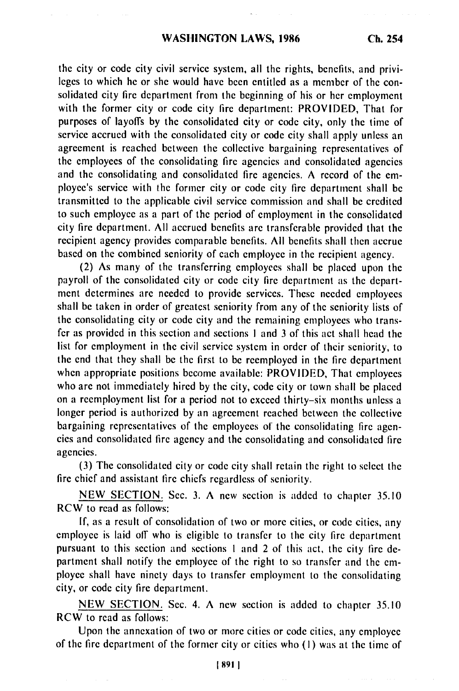the city or code city civil service system, all the rights, benefits, and privileges to which he or she would have been entitled as a member of the consolidated city fire department from the beginning of his or her employment with the former city or code city fire department: PROVIDED, That for purposes of layoffs by the consolidated city or code city, only the time of service accrued with the consolidated city or code city shall apply unless an agreement is reached between the collective bargaining representatives of the employees of the consolidating fire agencies and consolidated agencies and the consolidating and consolidated fire agencies. A record of the employee's service with the former city or code city fire department shall be transmitted to the applicable civil service commission and shall be credited to such employee as a part of the period of employment in the consolidated city fire department. All accrued benefits are transferable provided that the recipient agency provides comparable benefits. All benefits shall then accrue based on the combined seniority of each employee in the recipient agency.

(2) As many of the transferring employees shall be placed upon the payroll of the consolidated city or code city fire department as the department determines are needed to provide services. These needed employees shall be taken in order of greatest seniority from any of the seniority lists of the consolidating city or code city and the remaining employees who transfer as provided in this section and sections I and 3 of this act shall head the list for employment in the civil service system in order of their seniority, to the end that they shall be the first to be reemployed in the fire department when appropriate positions become available: PROVIDED, That employees who are not immediately hired by the city, code city or town shall be placed on a reemployment list for a period not to exceed thirty-six months unless a longer period is authorized by an agreement reached between the collective bargaining representatives of the employees of the consolidating fire agencies and consolidated fire agency and the consolidating and consolidated fire agencies.

(3) The consolidated city or code city shall retain the right to select the fire chief and assistant fire chiefs regardless of seniority.

NEW SECTION. Sec. 3. A new section is added to chapter 35.10 RCW to read as follows:

If, as a result of consolidation of two or more cities, or code cities, any employee is laid off who is eligible to transfer to the city fire department pursuant to this section and sections I and 2 of this act, the city fire department shall notify the employee of the right to so transfer and the employee shall have ninety days to transfer employment to the consolidating city, or code city fire department.

NEW SECTION. Sec. 4. A new section is added to chapter 35.10 RCW to read as follows:

Upon the annexation of two or more cities or code cities, any employee of the fire department of the former city or cities who (1) was at the time of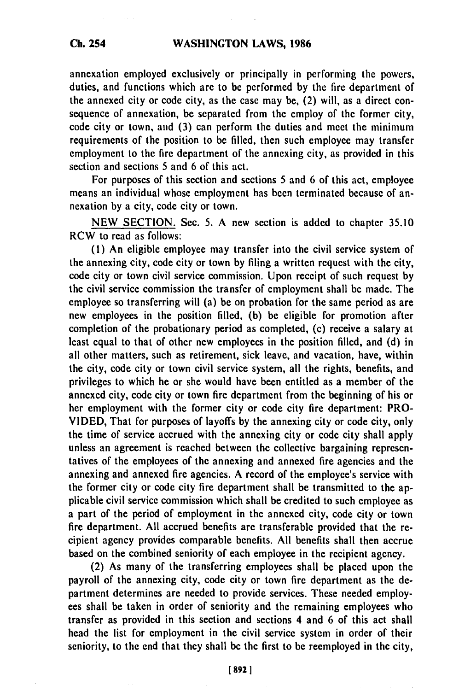## **WASHINGTON LAWS, 1986**

annexation employed exclusively or principally in performing the powers, duties, and functions which are to **be** performed **by** the fire department of the annexed city or code city, as the case may be, (2) will, as a direct consequence of annexation, be separated from the employ of the former city, code city or town, and **(3)** can perform the duties and meet the minimum requirements of the position to **be** filled, then such employee may transfer employment to the fire department of the annexing city, as provided in this section and sections **5** and 6 of this act.

For purposes of this section and sections **5** and 6 of this act, employee means an individual whose employment has been terminated because of annexation **by** a city, code city or town.

**NEW** SECTION. Sec. **5.** A new section is added to chapter **35.10** RCW to read as follows:

**(1)** An eligible employee may transfer into the civil service system of the annexing city, code city or town **by** filing a written request with the city, code city or town civil service commission. Upon receipt of such request **by** the civil service commission the transfer of employment shall be made. The employee so transferring will (a) be on probation for the same period as are new employees in the position filled, **(b)** be eligible for promotion after completion of the probationary period as completed, (c) receive a salary at least equal to that of other new employees in the position filled, and **(d)** in all other matters, such as retirement, sick leave, and vacation, have, within the city, code city or town civil service system, all the rights, benefits, and privileges to which he or she would have been entitled as a member of the annexed city, code city or town fire department from the beginning of his or her employment with the former city or code city fire department: PRO-**VIDED,** That for purposes of layoffs **by** the annexing city or code city, only the time of service accrued with the annexing city or code city shall apply unless an agreement is reached between the collective bargaining representatives of the employees of the annexing and annexed fire agencies and the annexing and annexed fire agencies. A record of the employee's service with the former city or code city fire department shall be transmitted to the applicable civil service commission which shall be credited to such employee as a part of the period of employment in the annexed city, code city or town fire department. **All** accrued benefits are transferable provided that the recipient agency provides comparable benefits. **All** benefits shall then accrue based on the combined seniority of each employee in the recipient agency.

(2) As many of the transferring employees shall **be** placed upon the payroll of the annexing city, code city or town fire department as the department determines are needed to provide services. These needed employ**ees** shall be taken in order of seniority and the remaining employees who transfer as provided in this section and sections 4 and **6** of this act shall head the list for employment in the civil service system in order of their seniority, to the end that they shall be the first to be reemployed in the city,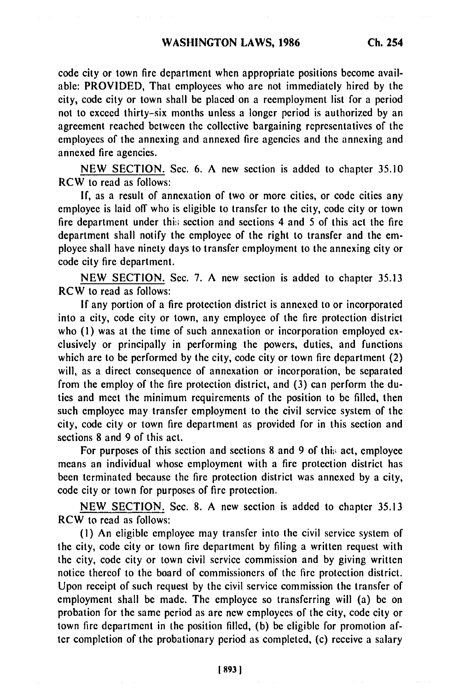code city or town fire department when appropriate positions become available: PROVIDED, That employees who are not immediately hired by the city, code city or town shall be placed on a reemployment list for a period not to exceed thirty-six months unless a longer period is authorized by an agreement reached between the collective bargaining representatives of the employees of the annexing and annexed fire agencies and the annexing and annexed fire agencies.

NEW SECTION. Sec. 6. A new section is added to chapter 35.10 RCW to read as follows:

If, as a result of annexation of two or more cities, or code cities any employee is laid off who is eligible to transfer to the city, code city or town fire department under this section and sections  $4$  and  $5$  of this act the fire department shall notify the employee of the right to transfer and the employee shall have ninety days to transfer employment to the annexing city or code city fire department.

NEW SECTION. Sec. 7. A new section is added to chapter 35.13 RCW to read as follows:

If any portion of a fire protection district is annexed to or incorporated into a city, code city or town, any employee of the fire protection district who (1) was at the time of such annexation or incorporation employed exclusively or principally in performing the powers, duties, and functions which are to be performed by the city, code city or town fire department (2) will, as a direct consequence of annexation or incorporation, be separated from the employ of the fire protection district, and (3) can perform the duties and meet the minimum requirements of the position to be filled, then such employee may transfer employment to the civil service system of the city, code city or town fire department as provided for in this section and sections 8 and 9 of this act.

For purposes of this section and sections 8 and 9 of this act, employee means an individual whose employment with a fire protection district has been terminated because the fire protection district was annexed by a city, code city or town for purposes of fire protection.

NEW SECTION. Sec. 8. A new section is added to chapter 35.13 RCW to read as follows:

(1) An eligible employee may transfer into the civil service system of the city, code city or town fire department by filing a written request with the city, code city or town civil service commission and by giving written notice thereof to the board of commissioners of the fire protection district. Upon receipt of such request by the civil service commission the transfer of employment shall be made. The employee so transferring will (a) be on probation for the same period as are new employees of the city, code city or town fire department in the position filled, (b) be eligible for promotion after completion of the probationary period as completed, (c) receive a salary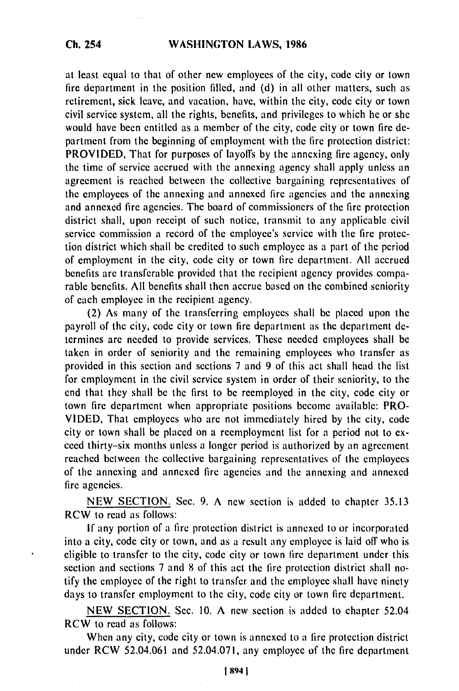at least equal to that of other new employees of the city, code city or town fire department in the position filled, and (d) in all other matters, such as retirement, sick leave, and vacation, have, within the city, code city or town civil service system, all the rights, benefits, and privileges to which he or she would have been entitled as a member of the city, code city or town fire department from the beginning of employment with the fire protection district: PROVIDED, That for purposes of layoffs by the annexing fire agency, only the time of service accrued with the annexing agency shall apply unless an agreement is reached between the collective bargaining representatives of the employees of the annexing and annexed fire agencies and the annexing and annexed fire agencies. The board of commissioners of the fire protection district shall, upon receipt of such notice, transmit to any applicable civil service commission a record of the employee's service with the fire protection district which shall be credited to such employee as a part of the period of employment in the city, code city or town fire department. All accrued benefits are transferable provided that the recipient agency provides comparable benefits. All benefits shall then accrue based on the combined seniority of each employee in the recipient agency.

(2) As many of the transferring employees shall be placed upon the payroll of the city, code city or town fire department as the department determines are needed to provide services. These needed employees shall be taken in order of seniority and the remaining employees who transfer as provided in this section and sections 7 and 9 of this act shall head the list for employment in the civil service system in order of their seniority, to the end that they shall be the first to be reemployed in the city, code city or town fire department when appropriate positions become available: PRO-VIDED, That employees who are not immediately hired by the city, code city or town shall be placed on a reemployment list for a period not to exceed thirty-six months unless a longer period is authorized by an agreement reached between the collective bargaining representatives of the employees of the annexing and annexed fire agencies and the annexing and annexed fire agencies.

NEW SECTION. Sec. 9. A new section is added to chapter 35.13 RCW to read as follows:

If any portion of a fire protection district is annexed to or incorporated into a city, code city or town, and as a result any employee is laid off who is eligible to transfer to the city, code city or town fire department under this section and sections 7 and 8 of this act the fire protection district shall notify the employee of the right to transfer and the employee shall have ninety days to transfer employment to the city, code city or town fire department.

NEW SECTION. Sec. 10. A new section is added to chapter 52.04 RCW to read as follows:

When any city, code city or town is annexed to a fire protection district under RCW 52.04.061 and 52.04.071, any employee of the fire department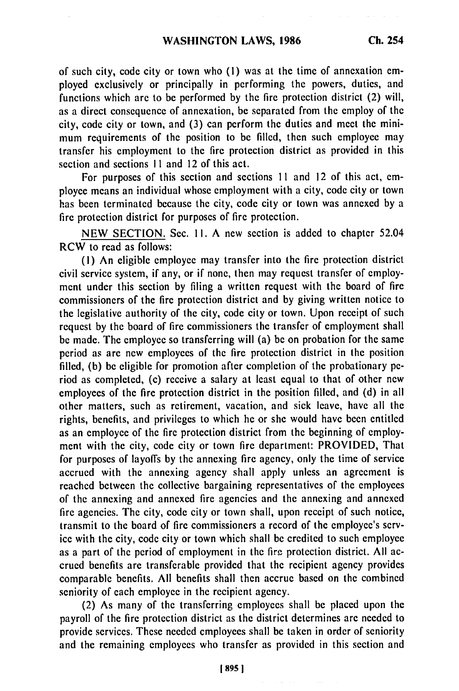of such city, code city or town who **(I)** was at the time of annexation employed exclusively or principally in performing the powers, duties, and functions which are to be performed by the fire protection district (2) will, as a direct consequence of annexation, be separated from the employ of the city, code city or town, and (3) can perform the duties and meet the minimum requirements of the position to be filled, then such employee may transfer his employment to the fire protection district as provided in this section and sections 11 and 12 of this act.

For purposes of this section and sections **II** and 12 of this act, employee means an individual whose employment with a city, code city or town has been terminated because the city, code city or town was annexed by a fire protection district for purposes of fire protection.

NEW SECTION. Sec. Ii. A new section is added to chapter 52.04 RCW to read as follows:

(I) An eligible employee may transfer into the fire protection district civil service system, if any, or if none, then may request transfer of employment under this section by filing a written request with the board of fire commissioners of the fire protection district and by giving written notice to the legislative authority of the city, code city or town. Upon receipt of such request by the board of fire commissioners the transfer of employment shall be made. The employee so transferring will (a) be on probation for the same period as are new employees of the fire protection district in the position filled, (b) be eligible for promotion after completion of the probationary period as completed, (c) receive a salary at least equal to that of other new employees of the fire protection district in the position filled, and (d) in all other matters, such as retirement, vacation, and sick leave, have all the rights, benefits, and privileges to which he or she would have been entitled as an employee of the fire protection district from the beginning of employment with the city, code city or town fire department: PROVIDED, That for purposes of layoffs by the annexing fire agency, only the time of service accrued with the annexing agency shall apply unless an agreement is reached between the collective bargaining representatives of the employees of the annexing and annexed fire agencies and the annexing and annexed fire agencies. The city, code city or town shall, upon receipt of such notice, transmit to the board of fire commissioners a record of the employee's service with the city, code city or town which shall be credited to such employee as a part of the period of employment in the fire protection district. All accrued benefits are transferable provided that the recipient agency provides comparable benefits. All benefits shall then accrue based on the combined seniority of each employee in the recipient agency.

(2) As many of the transferring employees shall be placed upon the payroll of the fire protection district as the district determines are needed to provide services. These needed employees shall be taken in order of seniority and the remaining employees who transfer as provided in this section and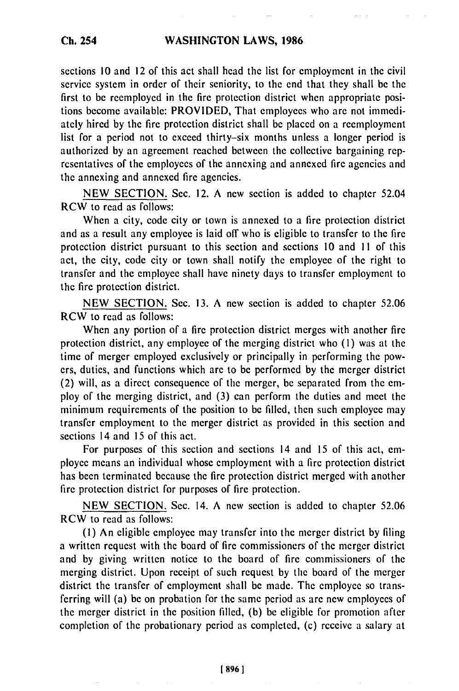sections 10 and 12 of this act shall head the list for employment in the civil service system in order of their seniority, to the end that they shall be the first to be reemployed in the fire protection district when appropriate positions become available: PROVIDED, That employees who are not immediately hired by the fire protection district shall be placed on a reemployment list for a period not to exceed thirty-six months unless a longer period is authorized by an agreement reached between the collective bargaining representatives of the employees of the annexing and annexed fire agencies and the annexing and annexed fire agencies.

NEW SECTION. Sec. 12. A new section is added to chapter 52.04 RCW to read as follows:

When a city, code city or town is annexed to a fire protection district and as a result any employee is laid off who is eligible to transfer to the fire protection district pursuant to this section and sections 10 and II of this act, the city, code city or town shall notify the employee of the right to transfer and the employee shall have ninety days to transfer employment to the fire protection district.

NEW SECTION. Sec. 13. A new section is added to chapter 52.06 RCW to read as follows:

When any portion of a fire protection district merges with another fire protection district, any employee of the merging district who (I) was at the time of merger employed exclusively or principally in performing the powers, duties, and functions which are to be performed by the merger district (2) will, as a direct consequence of the merger, be separated from the employ of the merging district, and (3) can perform the duties and meet the minimum requirements of the position to be filled, then such employee may transfer employment to the merger district as provided in this section and sections 14 and 15 of this act.

For purposes of this section and sections 14 and 15 of this act, employee means an individual whose employment with a fire protection district has been terminated because the fire protection district merged with another fire protection district for purposes of fire protection.

NEW SECTION. Sec. 14. A new section is added to chapter 52.06 RCW to read as follows:

**(1)** An eligible employee may transfer into the merger district by filing a written request with the board of fire commissioners of the merger district and by giving written notice to the board of fire commissioners of the merging district. Upon receipt of such request by the board of the merger district the transfer of employment shall be made. The employee so transferring will (a) be on probation for the same period as are new employees of the merger district in the position filled, (b) be eligible for promotion after completion of the probationary period as completed, (c) receive a salary at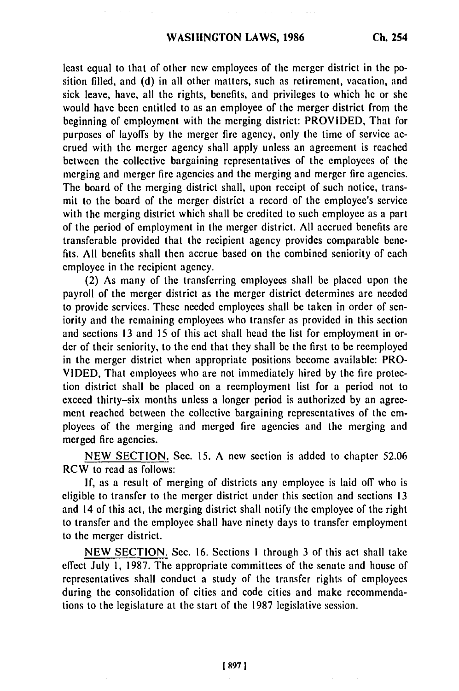least equal to that of other new employees of the merger district in the position filled, and (d) in all other matters, such as retirement, vacation, and sick leave, have, all the rights, benefits, and privileges to which he or she would have been entitled to as an employee of the merger district from **the** beginning of employment with the merging district: PROVIDED, That for purposes of layoffs by the merger fire agency, only the time of service accrued with the merger agency shall apply unless an agreement is reached between the collective bargaining representatives of the employees of the merging and merger fire agencies and the merging and merger fire agencies. The board of the merging district shall, upon receipt of such notice, transmit to the board of the merger district a record of the employee's service with the merging district which shall be credited to such employee as a part of the period of employment in the merger district. **All** accrued benefits are transferable provided that the recipient agency provides comparable benefits. **All** benefits shall then accrue based on the combined seniority of each employee in the recipient agency.

(2) As many of the transferring employees shall be placed upon the payroll of the merger district as the merger district determines are needed to provide services. These needed employees shall **be** taken in order of seniority and the remaining employees who transfer as provided in this section and sections **13** and 15 of this act shall head the list for employment in order of their seniority, to the end that they shall be the first to be reemployed in the merger district when appropriate positions become available: PRO-**VIDED,** That employees who are not immediately hired by the fire protection district shall **be** placed on a reemployment list for a period not to exceed thirty-six months unless a longer period is authorized by an agreement reached between the collective bargaining representatives of the employees of the merging and merged fire agencies and the merging and merged fire agencies.

NEW SECTION. Sec. 15. A new section is added to chapter 52.06 RCW to read as follows:

**If,** as a result of merging of districts any employee is laid **off** who is eligible to transfer to the merger district under this section and sections **13** and 14 of this act, the merging district shall notify the employee of the right to transfer and the employee shall have ninety days to transfer employment to the merger district.

NEW SECTION. Sec. 16. Sections I through 3 of this act shall take effect July **1,** 1987. The appropriate committees of the senate and house of representatives shall conduct a study of the transfer rights of employees during the consolidation of cities and code cities and make recommendations to the legislature at the start of the 1987 legislative session.